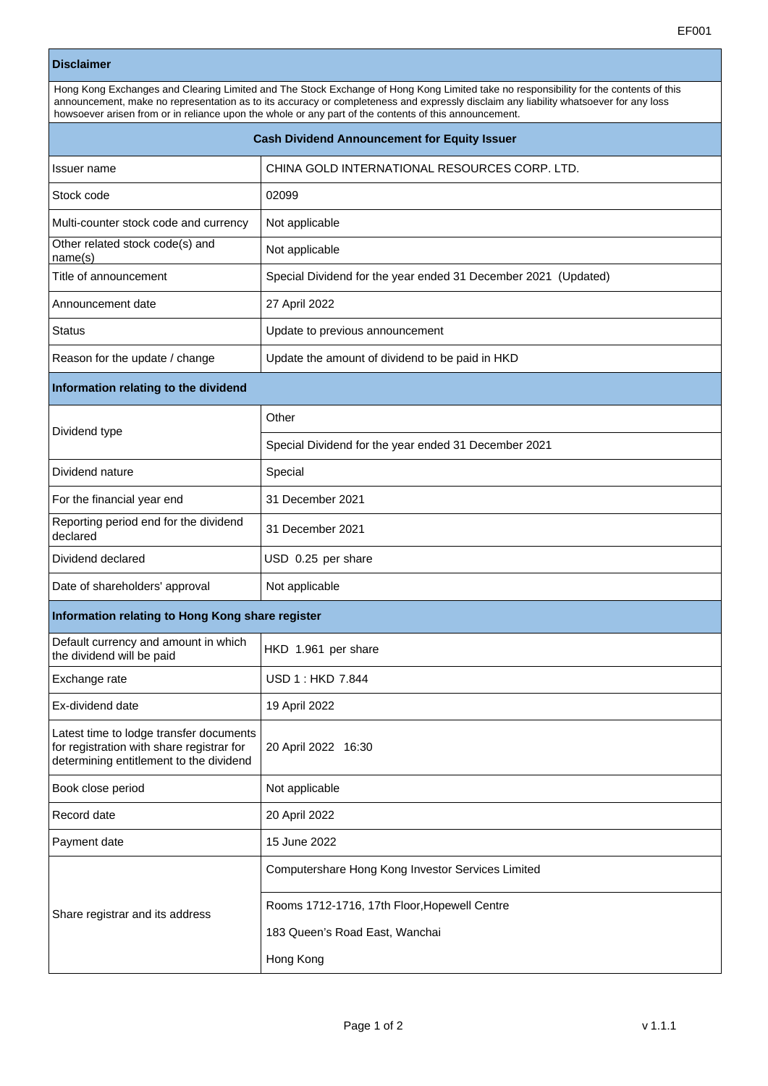## **Disclaimer**

| Hong Kong Exchanges and Clearing Limited and The Stock Exchange of Hong Kong Limited take no responsibility for the contents of this<br>announcement, make no representation as to its accuracy or completeness and expressly disclaim any liability whatsoever for any loss<br>howsoever arisen from or in reliance upon the whole or any part of the contents of this announcement. |                                                                |  |  |  |
|---------------------------------------------------------------------------------------------------------------------------------------------------------------------------------------------------------------------------------------------------------------------------------------------------------------------------------------------------------------------------------------|----------------------------------------------------------------|--|--|--|
| <b>Cash Dividend Announcement for Equity Issuer</b>                                                                                                                                                                                                                                                                                                                                   |                                                                |  |  |  |
| Issuer name                                                                                                                                                                                                                                                                                                                                                                           | CHINA GOLD INTERNATIONAL RESOURCES CORP. LTD.                  |  |  |  |
| Stock code                                                                                                                                                                                                                                                                                                                                                                            | 02099                                                          |  |  |  |
| Multi-counter stock code and currency                                                                                                                                                                                                                                                                                                                                                 | Not applicable                                                 |  |  |  |
| Other related stock code(s) and<br>name(s)                                                                                                                                                                                                                                                                                                                                            | Not applicable                                                 |  |  |  |
| Title of announcement                                                                                                                                                                                                                                                                                                                                                                 | Special Dividend for the year ended 31 December 2021 (Updated) |  |  |  |
| Announcement date                                                                                                                                                                                                                                                                                                                                                                     | 27 April 2022                                                  |  |  |  |
| Status                                                                                                                                                                                                                                                                                                                                                                                | Update to previous announcement                                |  |  |  |
| Reason for the update / change                                                                                                                                                                                                                                                                                                                                                        | Update the amount of dividend to be paid in HKD                |  |  |  |
| Information relating to the dividend                                                                                                                                                                                                                                                                                                                                                  |                                                                |  |  |  |
| Dividend type                                                                                                                                                                                                                                                                                                                                                                         | Other                                                          |  |  |  |
|                                                                                                                                                                                                                                                                                                                                                                                       | Special Dividend for the year ended 31 December 2021           |  |  |  |
| Dividend nature                                                                                                                                                                                                                                                                                                                                                                       | Special                                                        |  |  |  |
| For the financial year end                                                                                                                                                                                                                                                                                                                                                            | 31 December 2021                                               |  |  |  |
| Reporting period end for the dividend<br>declared                                                                                                                                                                                                                                                                                                                                     | 31 December 2021                                               |  |  |  |
| Dividend declared                                                                                                                                                                                                                                                                                                                                                                     | USD 0.25 per share                                             |  |  |  |
| Date of shareholders' approval                                                                                                                                                                                                                                                                                                                                                        | Not applicable                                                 |  |  |  |
| Information relating to Hong Kong share register                                                                                                                                                                                                                                                                                                                                      |                                                                |  |  |  |
| Default currency and amount in which<br>the dividend will be paid                                                                                                                                                                                                                                                                                                                     | HKD 1.961 per share                                            |  |  |  |
| Exchange rate                                                                                                                                                                                                                                                                                                                                                                         | USD 1 : HKD 7.844                                              |  |  |  |
| Ex-dividend date                                                                                                                                                                                                                                                                                                                                                                      | 19 April 2022                                                  |  |  |  |
| Latest time to lodge transfer documents<br>for registration with share registrar for<br>determining entitlement to the dividend                                                                                                                                                                                                                                                       | 20 April 2022 16:30                                            |  |  |  |
| Book close period                                                                                                                                                                                                                                                                                                                                                                     | Not applicable                                                 |  |  |  |
| Record date                                                                                                                                                                                                                                                                                                                                                                           | 20 April 2022                                                  |  |  |  |
| Payment date                                                                                                                                                                                                                                                                                                                                                                          | 15 June 2022                                                   |  |  |  |
| Share registrar and its address                                                                                                                                                                                                                                                                                                                                                       | Computershare Hong Kong Investor Services Limited              |  |  |  |
|                                                                                                                                                                                                                                                                                                                                                                                       | Rooms 1712-1716, 17th Floor, Hopewell Centre                   |  |  |  |
|                                                                                                                                                                                                                                                                                                                                                                                       | 183 Queen's Road East, Wanchai                                 |  |  |  |
|                                                                                                                                                                                                                                                                                                                                                                                       | Hong Kong                                                      |  |  |  |